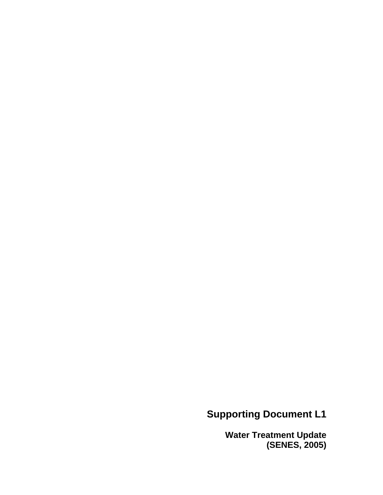# **Supporting Document L1**

**Water Treatment Update (SENES, 2005)**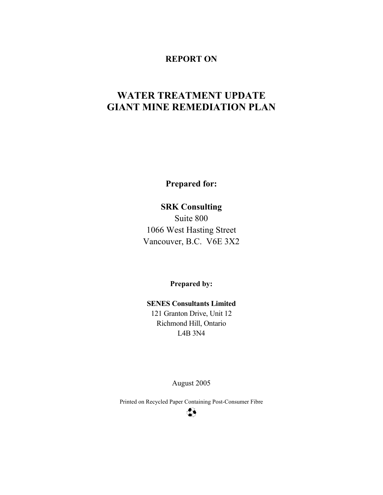#### **REPORT ON**

# **WATER TREATMENT UPDATE GIANT MINE REMEDIATION PLAN**

**Prepared for:** 

**SRK Consulting** 

Suite 800 1066 West Hasting Street Vancouver, B.C. V6E 3X2

**Prepared by:** 

**SENES Consultants Limited**  121 Granton Drive, Unit 12 Richmond Hill, Ontario L4B 3N4

August 2005

Printed on Recycled Paper Containing Post-Consumer Fibre

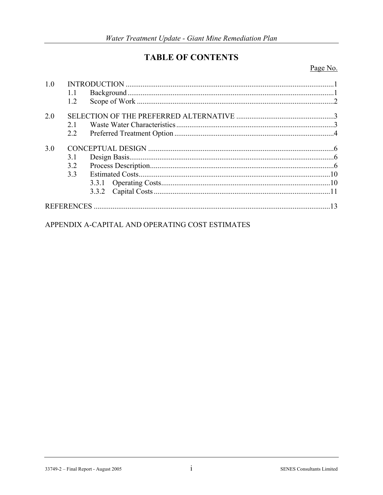# **TABLE OF CONTENTS**

Page No.

| 1.0 |     |    |
|-----|-----|----|
|     | 1.1 |    |
|     | 1.2 |    |
| 2.0 |     |    |
|     | 21  |    |
|     | 2.2 |    |
| 3.0 |     |    |
|     | 3.1 |    |
|     | 3.2 |    |
|     | 3.3 |    |
|     |     |    |
|     |     |    |
|     |     | 13 |

APPENDIX A-CAPITAL AND OPERATING COST ESTIMATES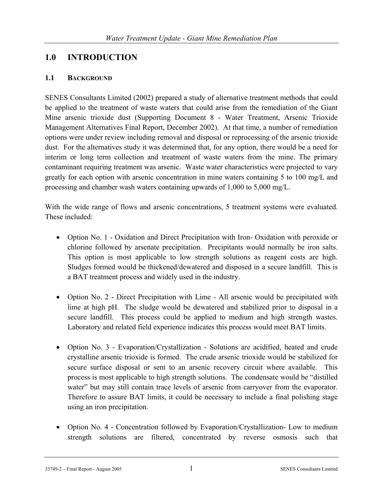## **1.0 INTRODUCTION**

#### **1.1 BACKGROUND**

SENES Consultants Limited (2002) prepared a study of alternative treatment methods that could be applied to the treatment of waste waters that could arise from the remediation of the Giant Mine arsenic trioxide dust (Supporting Document 8 - Water Treatment, Arsenic Trioxide Management Alternatives Final Report, December 2002). At that time, a number of remediation options were under review including removal and disposal or reprocessing of the arsenic trioxide dust. For the alternatives study it was determined that, for any option, there would be a need for interim or long term collection and treatment of waste waters from the mine. The primary contaminant requiring treatment was arsenic. Waste water characteristics were projected to vary greatly for each option with arsenic concentration in mine waters containing 5 to 100 mg/L and processing and chamber wash waters containing upwards of 1,000 to 5,000 mg/L.

With the wide range of flows and arsenic concentrations, 5 treatment systems were evaluated. These included:

- Option No. 1 Oxidation and Direct Precipitation with Iron- Oxidation with peroxide or chlorine followed by arsenate precipitation. Precipitants would normally be iron salts. This option is most applicable to low strength solutions as reagent costs are high. Sludges formed would be thickened/dewatered and disposed in a secure landfill. This is a BAT treatment process and widely used in the industry.
- Option No. 2 Direct Precipitation with Lime All arsenic would be precipitated with lime at high pH. The sludge would be dewatered and stabilized prior to disposal in a secure landfill. This process could be applied to medium and high strength wastes. Laboratory and related field experience indicates this process would meet BAT limits.
- Option No. 3 Evaporation/Crystallization Solutions are acidified, heated and crude crystalline arsenic trioxide is formed. The crude arsenic trioxide would be stabilized for secure surface disposal or sent to an arsenic recovery circuit where available. This process is most applicable to high strength solutions. The condensate would be "distilled water" but may still contain trace levels of arsenic from carryover from the evaporator. Therefore to assure BAT limits, it could be necessary to include a final polishing stage using an iron precipitation.
- Option No. 4 Concentration followed by Evaporation/Crystallization- Low to medium strength solutions are filtered, concentrated by reverse osmosis such that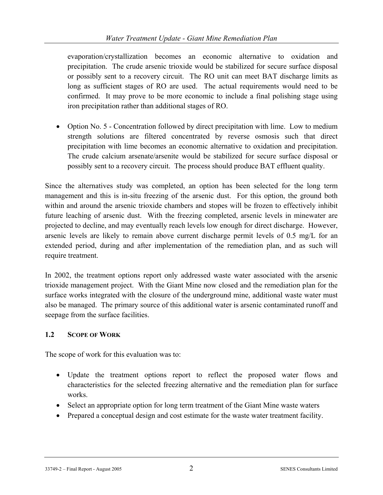evaporation/crystallization becomes an economic alternative to oxidation and precipitation. The crude arsenic trioxide would be stabilized for secure surface disposal or possibly sent to a recovery circuit. The RO unit can meet BAT discharge limits as long as sufficient stages of RO are used. The actual requirements would need to be confirmed. It may prove to be more economic to include a final polishing stage using iron precipitation rather than additional stages of RO.

• Option No. 5 - Concentration followed by direct precipitation with lime. Low to medium strength solutions are filtered concentrated by reverse osmosis such that direct precipitation with lime becomes an economic alternative to oxidation and precipitation. The crude calcium arsenate/arsenite would be stabilized for secure surface disposal or possibly sent to a recovery circuit. The process should produce BAT effluent quality.

Since the alternatives study was completed, an option has been selected for the long term management and this is in-situ freezing of the arsenic dust. For this option, the ground both within and around the arsenic trioxide chambers and stopes will be frozen to effectively inhibit future leaching of arsenic dust. With the freezing completed, arsenic levels in minewater are projected to decline, and may eventually reach levels low enough for direct discharge. However, arsenic levels are likely to remain above current discharge permit levels of 0.5 mg/L for an extended period, during and after implementation of the remediation plan, and as such will require treatment.

In 2002, the treatment options report only addressed waste water associated with the arsenic trioxide management project. With the Giant Mine now closed and the remediation plan for the surface works integrated with the closure of the underground mine, additional waste water must also be managed. The primary source of this additional water is arsenic contaminated runoff and seepage from the surface facilities.

### **1.2 SCOPE OF WORK**

The scope of work for this evaluation was to:

- Update the treatment options report to reflect the proposed water flows and characteristics for the selected freezing alternative and the remediation plan for surface works.
- Select an appropriate option for long term treatment of the Giant Mine waste waters
- Prepared a conceptual design and cost estimate for the waste water treatment facility.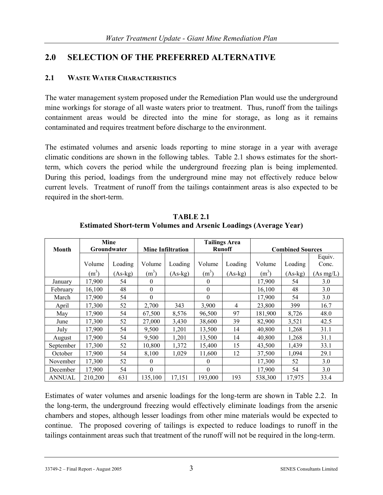## **2.0 SELECTION OF THE PREFERRED ALTERNATIVE**

#### **2.1 WASTE WATER CHARACTERISTICS**

The water management system proposed under the Remediation Plan would use the underground mine workings for storage of all waste waters prior to treatment. Thus, runoff from the tailings containment areas would be directed into the mine for storage, as long as it remains contaminated and requires treatment before discharge to the environment.

The estimated volumes and arsenic loads reporting to mine storage in a year with average climatic conditions are shown in the following tables. Table 2.1 shows estimates for the shortterm, which covers the period while the underground freezing plan is being implemented. During this period, loadings from the underground mine may not effectively reduce below current levels. Treatment of runoff from the tailings containment areas is also expected to be required in the short-term.

|               | Mine<br>Groundwater |           |                          |           | <b>Tailings Area</b> |           |                         |           |           |
|---------------|---------------------|-----------|--------------------------|-----------|----------------------|-----------|-------------------------|-----------|-----------|
| Month         |                     |           | <b>Mine Infiltration</b> |           | <b>Runoff</b>        |           | <b>Combined Sources</b> |           |           |
|               |                     |           |                          |           |                      |           |                         |           | Equiv.    |
|               | Volume              | Loading   | Volume                   | Loading   | Volume               | Loading   | Volume                  | Loading   | Conc.     |
|               | (m <sup>3</sup> )   | $(As-kg)$ | $(m^3)$                  | $(As-kg)$ | (m <sup>3</sup> )    | $(As-kg)$ | (m <sup>3</sup> )       | $(As-kg)$ | (As mg/L) |
| January       | 17,900              | 54        | $\Omega$                 |           | $\theta$             |           | 17,900                  | 54        | 3.0       |
| February      | 16,100              | 48        | $\theta$                 |           | $\mathbf{0}$         |           | 16,100                  | 48        | 3.0       |
| March         | 17,900              | 54        | $\theta$                 |           | $\Omega$             |           | 17,900                  | 54        | 3.0       |
| April         | 17,300              | 52        | 2,700                    | 343       | 3,900                | 4         | 23,800                  | 399       | 16.7      |
| May           | 17,900              | 54        | 67,500                   | 8,576     | 96,500               | 97        | 181,900                 | 8,726     | 48.0      |
| June          | 17,300              | 52        | 27,000                   | 3,430     | 38,600               | 39        | 82,900                  | 3,521     | 42.5      |
| July          | 17,900              | 54        | 9,500                    | 1,201     | 13,500               | 14        | 40,800                  | 1,268     | 31.1      |
| August        | 17,900              | 54        | 9,500                    | 1,201     | 13,500               | 14        | 40,800                  | 1,268     | 31.1      |
| September     | 17,300              | 52        | 10,800                   | 1,372     | 15,400               | 15        | 43,500                  | 1,439     | 33.1      |
| October       | 17,900              | 54        | 8,100                    | 1,029     | 11,600               | 12        | 37,500                  | 1,094     | 29.1      |
| November      | 17,300              | 52        | $\Omega$                 |           | $\theta$             |           | 17,300                  | 52        | 3.0       |
| December      | 17,900              | 54        | $\Omega$                 |           | $\Omega$             |           | 17,900                  | 54        | 3.0       |
| <b>ANNUAL</b> | 210,200             | 631       | 135,100                  | 17,151    | 193,000              | 193       | 538,300                 | 17,975    | 33.4      |

**TABLE 2.1 Estimated Short-term Volumes and Arsenic Loadings (Average Year)** 

Estimates of water volumes and arsenic loadings for the long-term are shown in Table 2.2. In the long-term, the underground freezing would effectively eliminate loadings from the arsenic chambers and stopes, although lesser loadings from other mine materials would be expected to continue. The proposed covering of tailings is expected to reduce loadings to runoff in the tailings containment areas such that treatment of the runoff will not be required in the long-term.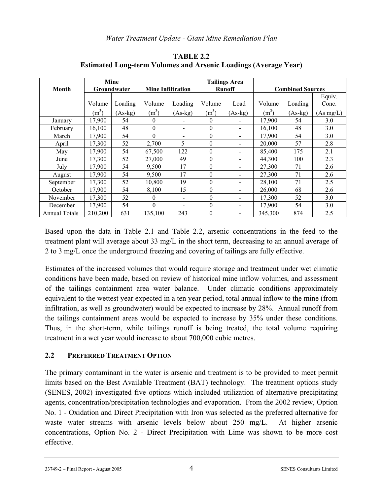|                      | Mine<br>Groundwater |           | <b>Tailings Area</b><br><b>Mine Infiltration</b><br><b>Runoff</b> |           |                  |           |                         |           |           |
|----------------------|---------------------|-----------|-------------------------------------------------------------------|-----------|------------------|-----------|-------------------------|-----------|-----------|
| Month                |                     |           |                                                                   |           |                  |           | <b>Combined Sources</b> |           |           |
|                      |                     |           |                                                                   |           |                  |           |                         |           | Equiv.    |
|                      | Volume              | Loading   | Volume                                                            | Loading   | Volume           | Load      | Volume                  | Loading   | Conc.     |
|                      | $(m^3)$             | $(As-kg)$ | $(m^3)$                                                           | $(As-kg)$ | $(m^3)$          | $(As-kg)$ | $(m^3)$                 | $(As-kg)$ | (As mg/L) |
| January              | 17,900              | 54        | 0                                                                 |           | $\theta$         |           | 17,900                  | 54        | 3.0       |
| February             | 16,100              | 48        | $\boldsymbol{0}$                                                  |           | $\boldsymbol{0}$ |           | 16,100                  | 48        | 3.0       |
| March                | 17,900              | 54        | $\theta$                                                          |           | $\theta$         |           | 17,900                  | 54        | 3.0       |
| April                | 17,300              | 52        | 2,700                                                             | 5         | $\theta$         |           | 20,000                  | 57        | 2.8       |
| May                  | 17,900              | 54        | 67,500                                                            | 122       | $\theta$         |           | 85,400                  | 175       | 2.1       |
| June                 | 17,300              | 52        | 27,000                                                            | 49        | $\theta$         |           | 44,300                  | 100       | 2.3       |
| July                 | 17,900              | 54        | 9,500                                                             | 17        | $\theta$         | -         | 27,300                  | 71        | 2.6       |
| August               | 17,900              | 54        | 9,500                                                             | 17        | $\theta$         |           | 27,300                  | 71        | 2.6       |
| September            | 17,300              | 52        | 10,800                                                            | 19        | $\theta$         |           | 28,100                  | 71        | 2.5       |
| October              | 17,900              | 54        | 8,100                                                             | 15        | $\theta$         | -         | 26.000                  | 68        | 2.6       |
| November             | 17,300              | 52        | $\theta$                                                          | ۰         | $\theta$         | ۰         | 17.300                  | 52        | 3.0       |
| December             | 17,900              | 54        | $\theta$                                                          | -         | $\theta$         | -         | 17,900                  | 54        | 3.0       |
| <b>Annual Totals</b> | 210,200             | 631       | 135.100                                                           | 243       | $\theta$         |           | 345.300                 | 874       | 2.5       |

**TABLE 2.2 Estimated Long-term Volumes and Arsenic Loadings (Average Year)** 

Based upon the data in Table 2.1 and Table 2.2, arsenic concentrations in the feed to the treatment plant will average about 33 mg/L in the short term, decreasing to an annual average of 2 to 3 mg/L once the underground freezing and covering of tailings are fully effective.

Estimates of the increased volumes that would require storage and treatment under wet climatic conditions have been made, based on review of historical mine inflow volumes, and assessment of the tailings containment area water balance. Under climatic conditions approximately equivalent to the wettest year expected in a ten year period, total annual inflow to the mine (from infiltration, as well as groundwater) would be expected to increase by 28%. Annual runoff from the tailings containment areas would be expected to increase by 35% under these conditions. Thus, in the short-term, while tailings runoff is being treated, the total volume requiring treatment in a wet year would increase to about 700,000 cubic metres.

#### **2.2 PREFERRED TREATMENT OPTION**

The primary contaminant in the water is arsenic and treatment is to be provided to meet permit limits based on the Best Available Treatment (BAT) technology. The treatment options study (SENES, 2002) investigated five options which included utilization of alternative precipitating agents, concentration/precipitation technologies and evaporation. From the 2002 review, Option No. 1 - Oxidation and Direct Precipitation with Iron was selected as the preferred alternative for waste water streams with arsenic levels below about 250 mg/L. At higher arsenic concentrations, Option No. 2 - Direct Precipitation with Lime was shown to be more cost effective.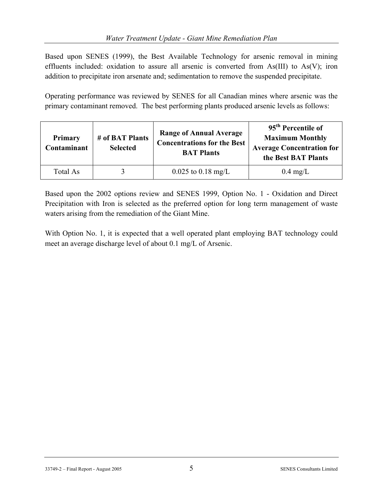Based upon SENES (1999), the Best Available Technology for arsenic removal in mining effluents included: oxidation to assure all arsenic is converted from As(III) to As(V); iron addition to precipitate iron arsenate and; sedimentation to remove the suspended precipitate.

Operating performance was reviewed by SENES for all Canadian mines where arsenic was the primary contaminant removed. The best performing plants produced arsenic levels as follows:

| <b>Primary</b><br>Contaminant | # of BAT Plants<br><b>Selected</b> | <b>Range of Annual Average</b><br><b>Concentrations for the Best</b><br><b>BAT Plants</b> | 95 <sup>th</sup> Percentile of<br><b>Maximum Monthly</b><br><b>Average Concentration for</b><br>the Best BAT Plants |
|-------------------------------|------------------------------------|-------------------------------------------------------------------------------------------|---------------------------------------------------------------------------------------------------------------------|
| Total As                      |                                    | $0.025$ to $0.18$ mg/L                                                                    | $0.4 \text{ mg/L}$                                                                                                  |

Based upon the 2002 options review and SENES 1999, Option No. 1 - Oxidation and Direct Precipitation with Iron is selected as the preferred option for long term management of waste waters arising from the remediation of the Giant Mine.

With Option No. 1, it is expected that a well operated plant employing BAT technology could meet an average discharge level of about 0.1 mg/L of Arsenic.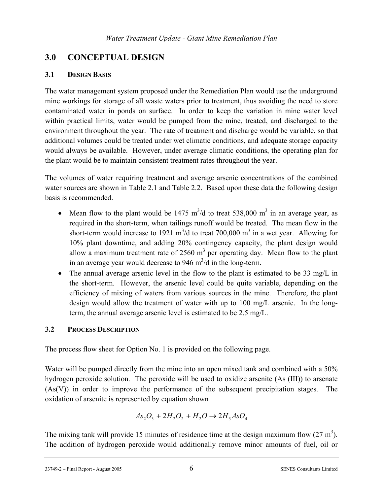## **3.0 CONCEPTUAL DESIGN**

## **3.1 DESIGN BASIS**

The water management system proposed under the Remediation Plan would use the underground mine workings for storage of all waste waters prior to treatment, thus avoiding the need to store contaminated water in ponds on surface. In order to keep the variation in mine water level within practical limits, water would be pumped from the mine, treated, and discharged to the environment throughout the year. The rate of treatment and discharge would be variable, so that additional volumes could be treated under wet climatic conditions, and adequate storage capacity would always be available. However, under average climatic conditions, the operating plan for the plant would be to maintain consistent treatment rates throughout the year.

The volumes of water requiring treatment and average arsenic concentrations of the combined water sources are shown in Table 2.1 and Table 2.2. Based upon these data the following design basis is recommended.

- Mean flow to the plant would be 1475  $m^3/d$  to treat 538,000  $m^3$  in an average year, as required in the short-term, when tailings runoff would be treated. The mean flow in the short-term would increase to 1921 m<sup>3</sup>/d to treat 700,000 m<sup>3</sup> in a wet year. Allowing for 10% plant downtime, and adding 20% contingency capacity, the plant design would allow a maximum treatment rate of  $2560 \text{ m}^3$  per operating day. Mean flow to the plant in an average year would decrease to 946  $\text{m}^3/\text{d}$  in the long-term.
- The annual average arsenic level in the flow to the plant is estimated to be 33 mg/L in the short-term. However, the arsenic level could be quite variable, depending on the efficiency of mixing of waters from various sources in the mine. Therefore, the plant design would allow the treatment of water with up to 100 mg/L arsenic. In the longterm, the annual average arsenic level is estimated to be 2.5 mg/L.

## **3.2 PROCESS DESCRIPTION**

The process flow sheet for Option No. 1 is provided on the following page.

Water will be pumped directly from the mine into an open mixed tank and combined with a 50% hydrogen peroxide solution. The peroxide will be used to oxidize arsenite (As (III)) to arsenate (As(V)) in order to improve the performance of the subsequent precipitation stages. The oxidation of arsenite is represented by equation shown

$$
As_2O_3 + 2H_2O_2 + H_2O \rightarrow 2H_3AsO_4
$$

The mixing tank will provide 15 minutes of residence time at the design maximum flow  $(27 \text{ m}^3)$ . The addition of hydrogen peroxide would additionally remove minor amounts of fuel, oil or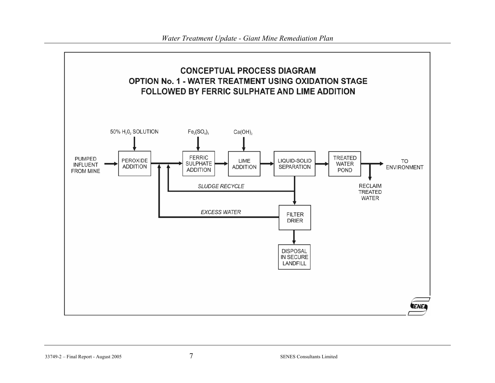

33749-2 – Final Report - August 2005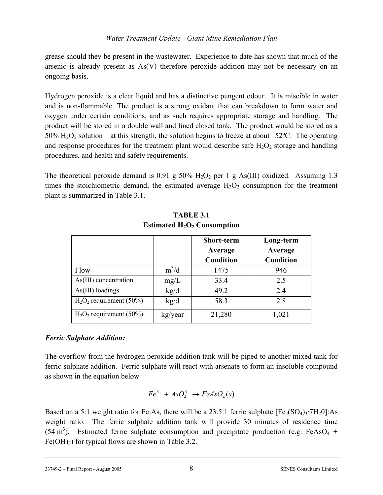grease should they be present in the wastewater. Experience to date has shown that much of the arsenic is already present as As(V) therefore peroxide addition may not be necessary on an ongoing basis.

Hydrogen peroxide is a clear liquid and has a distinctive pungent odour. It is miscible in water and is non-flammable. The product is a strong oxidant that can breakdown to form water and oxygen under certain conditions, and as such requires appropriate storage and handling. The product will be stored in a double wall and lined closed tank. The product would be stored as a 50%  $\text{H}_2\text{O}_2$  solution – at this strength, the solution begins to freeze at about –52°C. The operating and response procedures for the treatment plant would describe safe  $H_2O_2$  storage and handling procedures, and health and safety requirements.

The theoretical peroxide demand is 0.91 g 50%  $H_2O_2$  per 1 g As(III) oxidized. Assuming 1.3 times the stoichiometric demand, the estimated average  $H_2O_2$  consumption for the treatment plant is summarized in Table 3.1.

|                            |         | <b>Short-term</b><br>Average<br>Condition | Long-term<br>Average<br><b>Condition</b> |
|----------------------------|---------|-------------------------------------------|------------------------------------------|
| Flow                       | $m^3/d$ | 1475                                      | 946                                      |
| As(III) concentration      | mg/L    | 33.4                                      | 2.5                                      |
| As(III) loadings           | kg/d    | 49.2                                      | 2.4                                      |
| $H2O2$ requirement (50%)   | kg/d    | 58.3                                      | 2.8                                      |
| $H_2O_2$ requirement (50%) | kg/year | 21,280                                    | 1,021                                    |

**TABLE 3.1 Estimated H<sub>2</sub>O<sub>2</sub> Consumption** 

### *Ferric Sulphate Addition:*

The overflow from the hydrogen peroxide addition tank will be piped to another mixed tank for ferric sulphate addition. Ferric sulphate will react with arsenate to form an insoluble compound as shown in the equation below

$$
Fe^{3+} + AsO_4^{3-} \rightarrow FeAsO_4(s)
$$

Based on a 5:1 weight ratio for Fe:As, there will be a 23.5:1 ferric sulphate  $[Fe<sub>2</sub>(SO<sub>4</sub>)<sub>3</sub>·7H<sub>2</sub>0]$ :As weight ratio. The ferric sulphate addition tank will provide 30 minutes of residence time  $(54 \text{ m}^3)$ . Estimated ferric sulphate consumption and precipitate production (e.g. FeAsO<sub>4</sub> +  $Fe(OH)<sub>3</sub>$  for typical flows are shown in Table 3.2.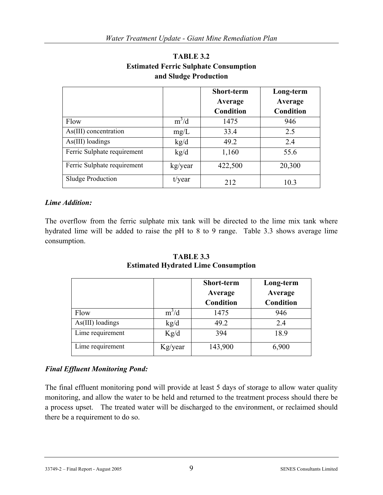|                             |           | <b>Short-term</b><br>Average<br>Condition | Long-term<br>Average<br>Condition |
|-----------------------------|-----------|-------------------------------------------|-----------------------------------|
| Flow                        | $m^3/d$   | 1475                                      | 946                               |
| As(III) concentration       | mg/L      | 33.4                                      | 2.5                               |
| $As(III)$ loadings          | kg/d      | 49.2                                      | 2.4                               |
| Ferric Sulphate requirement | kg/d      | 1,160                                     | 55.6                              |
| Ferric Sulphate requirement | kg/year   | 422,500                                   | 20,300                            |
| <b>Sludge Production</b>    | $t$ /year | 212                                       | 10.3                              |

#### **TABLE 3.2 Estimated Ferric Sulphate Consumption and Sludge Production**

#### *Lime Addition:*

The overflow from the ferric sulphate mix tank will be directed to the lime mix tank where hydrated lime will be added to raise the pH to 8 to 9 range. Table 3.3 shows average lime consumption.

|                    |         | <b>Short-term</b><br>Average | Long-term<br>Average |
|--------------------|---------|------------------------------|----------------------|
|                    |         | <b>Condition</b>             | <b>Condition</b>     |
| Flow               | $m^3/d$ | 1475                         | 946                  |
| $As(III)$ loadings | kg/d    | 49.2                         | 2.4                  |
| Lime requirement   | Kg/d    | 394                          | 18.9                 |
| Lime requirement   | Kg/year | 143,900                      | 6,900                |

**TABLE 3.3 Estimated Hydrated Lime Consumption** 

#### *Final Effluent Monitoring Pond:*

The final effluent monitoring pond will provide at least 5 days of storage to allow water quality monitoring, and allow the water to be held and returned to the treatment process should there be a process upset. The treated water will be discharged to the environment, or reclaimed should there be a requirement to do so.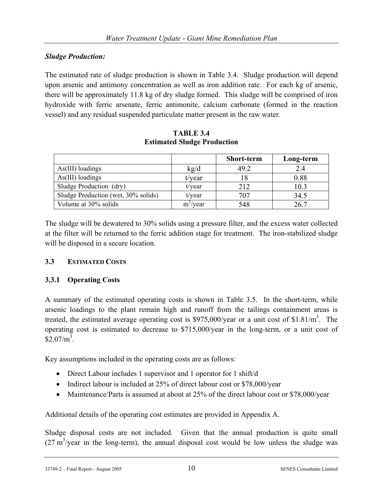#### *Sludge Production:*

The estimated rate of sludge production is shown in Table 3.4. Sludge production will depend upon arsenic and antimony concentration as well as iron addition rate. For each kg of arsenic, there will be approximately 11.8 kg of dry sludge formed. This sludge will be comprised of iron hydroxide with ferric arsenate, ferric antimonite, calcium carbonate (formed in the reaction vessel) and any residual suspended particulate matter present in the raw water.

|                                     |             | <b>Short-term</b> | Long-term |
|-------------------------------------|-------------|-------------------|-----------|
| $As(III)$ loadings                  | kg/d        | 49.2              | 2.4       |
| $As(III)$ loadings                  | $t$ /year   |                   | 0.88      |
| Sludge Production (dry)             | $t$ /year   | 212               | 10.3      |
| Sludge Production (wet, 30% solids) | $t$ /year   | 707               | 34.5      |
| Volume at 30% solids                | $m^3$ /year | 548               |           |

**TABLE 3.4 Estimated Sludge Production** 

The sludge will be dewatered to 30% solids using a pressure filter, and the excess water collected at the filter will be returned to the ferric addition stage for treatment. The iron-stabilized sludge will be disposed in a secure location.

#### **3.3 ESTIMATED COSTS**

#### **3.3.1 Operating Costs**

A summary of the estimated operating costs is shown in Table 3.5. In the short-term, while arsenic loadings to the plant remain high and runoff from the tailings containment areas is treated, the estimated average operating cost is \$975,000/year or a unit cost of \$1.81/ $m<sup>3</sup>$ . The operating cost is estimated to decrease to \$715,000/year in the long-term, or a unit cost of  $$2.07/m<sup>3</sup>$ .

Key assumptions included in the operating costs are as follows:

- Direct Labour includes 1 supervisor and 1 operator for 1 shift/d
- Indirect labour is included at 25% of direct labour cost or \$78,000/year
- Maintenance/Parts is assumed at about at 25% of the direct labour cost or \$78,000/year

Additional details of the operating cost estimates are provided in Appendix A.

Sludge disposal costs are not included. Given that the annual production is quite small  $(27 \text{ m}^3/\text{year})$  in the long-term), the annual disposal cost would be low unless the sludge was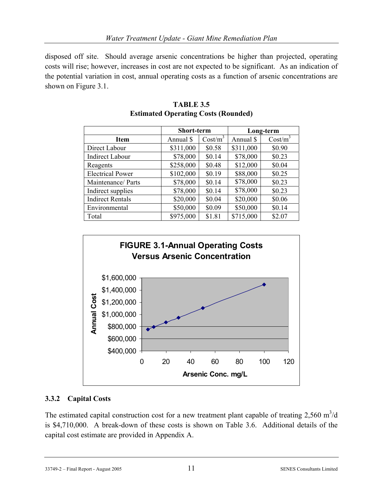disposed off site. Should average arsenic concentrations be higher than projected, operating costs will rise; however, increases in cost are not expected to be significant. As an indication of the potential variation in cost, annual operating costs as a function of arsenic concentrations are shown on Figure 3.1.

|                         | Short-term |                     | Long-term |            |  |
|-------------------------|------------|---------------------|-----------|------------|--|
| Item                    | Annual \$  | Cost/m <sup>3</sup> | Annual \$ | $Cost/m^3$ |  |
| Direct Labour           | \$311,000  | \$0.58              | \$311,000 | \$0.90     |  |
| <b>Indirect Labour</b>  | \$78,000   | \$0.14              | \$78,000  | \$0.23     |  |
| Reagents                | \$258,000  | \$0.48              | \$12,000  | \$0.04     |  |
| <b>Electrical Power</b> | \$102,000  | \$0.19              | \$88,000  | \$0.25     |  |
| Maintenance/ Parts      | \$78,000   | \$0.14              | \$78,000  | \$0.23     |  |
| Indirect supplies       | \$78,000   | \$0.14              | \$78,000  | \$0.23     |  |
| <b>Indirect Rentals</b> | \$20,000   | \$0.04              | \$20,000  | \$0.06     |  |
| Environmental           | \$50,000   | \$0.09              | \$50,000  | \$0.14     |  |
| Total                   | \$975,000  | \$1.81              | \$715,000 | \$2.07     |  |

#### **TABLE 3.5 Estimated Operating Costs (Rounded)**



#### **3.3.2 Capital Costs**

The estimated capital construction cost for a new treatment plant capable of treating  $2,560 \text{ m}^3/\text{d}$ is \$4,710,000. A break-down of these costs is shown on Table 3.6. Additional details of the capital cost estimate are provided in Appendix A.

33749-2 – Final Report - August 2005 11 SENES Consultants Limited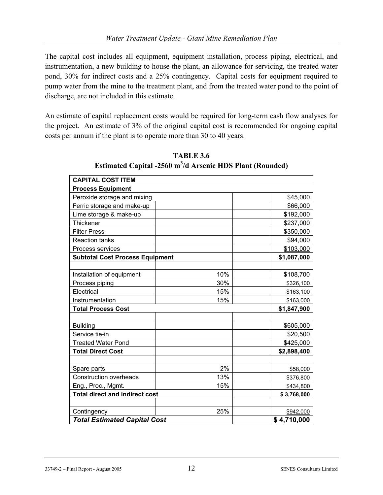The capital cost includes all equipment, equipment installation, process piping, electrical, and instrumentation, a new building to house the plant, an allowance for servicing, the treated water pond, 30% for indirect costs and a 25% contingency. Capital costs for equipment required to pump water from the mine to the treatment plant, and from the treated water pond to the point of discharge, are not included in this estimate.

An estimate of capital replacement costs would be required for long-term cash flow analyses for the project. An estimate of 3% of the original capital cost is recommended for ongoing capital costs per annum if the plant is to operate more than 30 to 40 years.

| <b>CAPITAL COST ITEM</b>               |     |             |
|----------------------------------------|-----|-------------|
| <b>Process Equipment</b>               |     |             |
| Peroxide storage and mixing            |     | \$45,000    |
| Ferric storage and make-up             |     | \$66,000    |
| Lime storage & make-up                 |     | \$192,000   |
| Thickener                              |     | \$237,000   |
| <b>Filter Press</b>                    |     | \$350,000   |
| <b>Reaction tanks</b>                  |     | \$94,000    |
| Process services                       |     | \$103,000   |
| <b>Subtotal Cost Process Equipment</b> |     | \$1,087,000 |
|                                        |     |             |
| Installation of equipment              | 10% | \$108,700   |
| Process piping                         | 30% | \$326,100   |
| Electrical                             | 15% | \$163,100   |
| Instrumentation                        | 15% | \$163,000   |
| <b>Total Process Cost</b>              |     | \$1,847,900 |
|                                        |     |             |
| <b>Building</b>                        |     | \$605,000   |
| Service tie-in                         |     | \$20,500    |
| <b>Treated Water Pond</b>              |     | \$425,000   |
| <b>Total Direct Cost</b>               |     | \$2,898,400 |
|                                        |     |             |
| Spare parts                            | 2%  | \$58,000    |
| <b>Construction overheads</b>          | 13% | \$376,800   |
| Eng., Proc., Mgmt.                     | 15% | \$434,800   |
| <b>Total direct and indirect cost</b>  |     | \$3,768,000 |
|                                        |     |             |
| Contingency                            | 25% | \$942,000   |
| <b>Total Estimated Capital Cost</b>    |     | \$4,710,000 |

**TABLE 3.6 Estimated Capital -2560 m<sup>3</sup> /d Arsenic HDS Plant (Rounded)**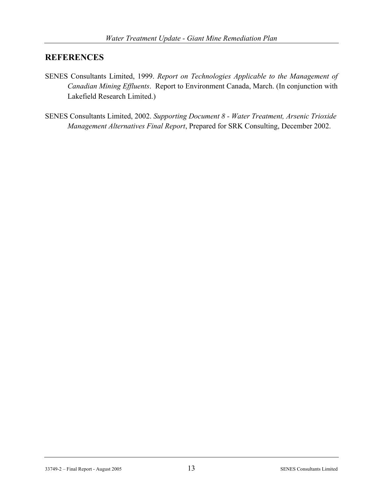## **REFERENCES**

- SENES Consultants Limited, 1999. *Report on Technologies Applicable to the Management of Canadian Mining Effluents*. Report to Environment Canada, March. (In conjunction with Lakefield Research Limited.)
- SENES Consultants Limited, 2002. *Supporting Document 8 Water Treatment, Arsenic Trioxide Management Alternatives Final Report*, Prepared for SRK Consulting, December 2002.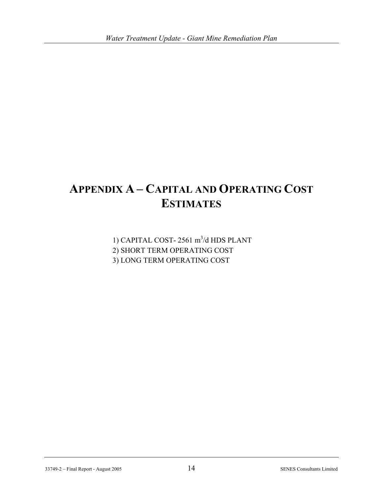# **APPENDIX A – CAPITAL AND OPERATING COST ESTIMATES**

1) CAPITAL COST- 2561 m<sup>3</sup>/d HDS PLANT 2) SHORT TERM OPERATING COST 3) LONG TERM OPERATING COST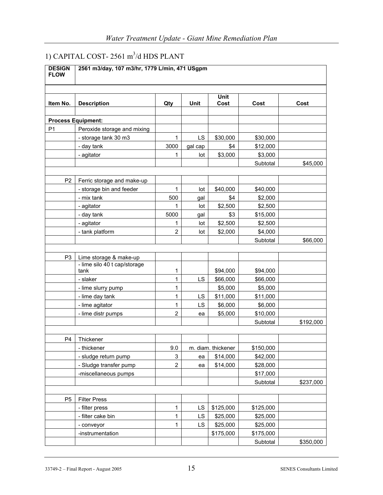## 1) CAPITAL COST- 2561 m<sup>3</sup>/d HDS PLANT

| <b>DESIGN</b><br><b>FLOW</b> | 2561 m3/day, 107 m3/hr, 1779 L/min, 471 USgpm          |                |         |                    |           |           |  |
|------------------------------|--------------------------------------------------------|----------------|---------|--------------------|-----------|-----------|--|
|                              |                                                        |                |         |                    |           |           |  |
| Item No.                     | <b>Description</b>                                     | Qty            | Unit    | Unit<br>Cost       | Cost      | Cost      |  |
|                              |                                                        |                |         |                    |           |           |  |
|                              | <b>Process Equipment:</b>                              |                |         |                    |           |           |  |
| P <sub>1</sub>               | Peroxide storage and mixing                            |                |         |                    |           |           |  |
|                              | - storage tank 30 m3                                   | 1              | LS      | \$30,000           | \$30,000  |           |  |
|                              | - day tank                                             | 3000           | gal cap | \$4                | \$12,000  |           |  |
|                              | - agitator                                             | 1              | lot     | \$3,000            | \$3,000   |           |  |
|                              |                                                        |                |         |                    | Subtotal  | \$45,000  |  |
|                              |                                                        |                |         |                    |           |           |  |
| P <sub>2</sub>               | Ferric storage and make-up                             |                |         |                    |           |           |  |
|                              | - storage bin and feeder                               | 1              | lot     | \$40,000           | \$40,000  |           |  |
|                              | - mix tank                                             | 500            | gal     | \$4                | \$2,000   |           |  |
|                              | - agitator                                             | 1              | lot     | \$2,500            | \$2,500   |           |  |
|                              | - day tank                                             | 5000           | gal     | \$3                | \$15,000  |           |  |
|                              | - agitator                                             | 1              | lot     | \$2,500            | \$2,500   |           |  |
|                              | - tank platform                                        | $\overline{c}$ | lot     | \$2,000            | \$4,000   |           |  |
|                              |                                                        |                |         |                    | Subtotal  | \$66,000  |  |
|                              |                                                        |                |         |                    |           |           |  |
| P <sub>3</sub>               | Lime storage & make-up<br>- lime silo 40 t cap/storage |                |         |                    |           |           |  |
|                              | tank                                                   | 1              |         | \$94,000           | \$94,000  |           |  |
|                              | - slaker                                               | 1              | LS      | \$66,000           | \$66,000  |           |  |
|                              | - lime slurry pump                                     | 1              |         | \$5,000            | \$5,000   |           |  |
|                              | - lime day tank                                        | 1              | LS      | \$11,000           | \$11,000  |           |  |
|                              | - lime agitator                                        | $\mathbf{1}$   | LS      | \$6,000            | \$6,000   |           |  |
|                              | - lime distr pumps                                     | $\overline{2}$ | ea      | \$5,000            | \$10,000  |           |  |
|                              |                                                        |                |         |                    | Subtotal  | \$192,000 |  |
|                              |                                                        |                |         |                    |           |           |  |
| P <sub>4</sub>               | Thickener                                              |                |         |                    |           |           |  |
|                              | - thickener                                            | 9.0            |         | m. diam. thickener | \$150,000 |           |  |
|                              | - sludge return pump                                   | 3              | ea      | \$14,000           | \$42,000  |           |  |
|                              | - Sludge transfer pump                                 | $\overline{c}$ | ea      | \$14,000           | \$28,000  |           |  |
|                              | -miscellaneous pumps                                   |                |         |                    | \$17,000  |           |  |
|                              |                                                        |                |         |                    | Subtotal  | \$237,000 |  |
|                              |                                                        |                |         |                    |           |           |  |
| P <sub>5</sub>               | <b>Filter Press</b>                                    |                |         |                    |           |           |  |
|                              | - filter press                                         | $\mathbf 1$    | LS      | \$125,000          | \$125,000 |           |  |
|                              | - filter cake bin                                      | 1              | LS      | \$25,000           | \$25,000  |           |  |
|                              | - conveyor                                             | 1              | LS      | \$25,000           | \$25,000  |           |  |
|                              | -instrumentation                                       |                |         | \$175,000          | \$175,000 |           |  |
|                              |                                                        |                |         |                    | Subtotal  | \$350,000 |  |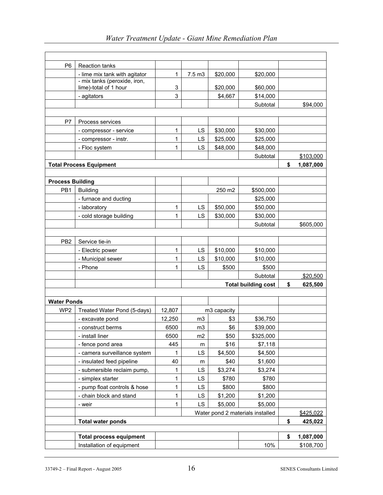| P <sub>6</sub>          | <b>Reaction tanks</b>                                 |        |                   |             |                                  |                 |
|-------------------------|-------------------------------------------------------|--------|-------------------|-------------|----------------------------------|-----------------|
|                         | - lime mix tank with agitator                         | 1      | 7.5 <sub>m3</sub> | \$20,000    | \$20,000                         |                 |
|                         | - mix tanks (peroxide, iron,<br>lime)-total of 1 hour | 3      |                   | \$20,000    | \$60,000                         |                 |
|                         | - agitators                                           | 3      |                   | \$4,667     | \$14,000                         |                 |
|                         |                                                       |        |                   |             | Subtotal                         | \$94,000        |
|                         |                                                       |        |                   |             |                                  |                 |
| P7                      | Process services                                      |        |                   |             |                                  |                 |
|                         | - compressor - service                                | 1      | LS                | \$30,000    | \$30,000                         |                 |
|                         | - compressor - instr.                                 | 1      | LS                | \$25,000    | \$25,000                         |                 |
|                         | - Floc system                                         | 1      | LS                | \$48,000    | \$48,000                         |                 |
|                         |                                                       |        |                   |             | Subtotal                         | \$103,000       |
|                         | <b>Total Process Equipment</b>                        |        |                   |             |                                  | \$<br>1,087,000 |
|                         |                                                       |        |                   |             |                                  |                 |
| <b>Process Building</b> |                                                       |        |                   |             |                                  |                 |
| PB1                     | <b>Building</b>                                       |        |                   | 250 m2      | \$500,000                        |                 |
|                         | - furnace and ducting                                 |        |                   |             | \$25,000                         |                 |
|                         | - laboratory                                          | 1      | LS                | \$50,000    | \$50,000                         |                 |
|                         | - cold storage building                               | 1      | LS                | \$30,000    | \$30,000                         |                 |
|                         |                                                       |        |                   |             | Subtotal                         | \$605,000       |
|                         |                                                       |        |                   |             |                                  |                 |
| PB <sub>2</sub>         | Service tie-in                                        |        |                   |             |                                  |                 |
|                         | - Electric power                                      | 1      | LS                | \$10,000    | \$10,000                         |                 |
|                         | - Municipal sewer                                     | 1      | LS                | \$10,000    | \$10,000                         |                 |
|                         | - Phone                                               | 1      | LS                | \$500       | \$500                            |                 |
|                         |                                                       |        |                   |             | Subtotal                         | \$20,500        |
|                         |                                                       |        |                   |             | <b>Total building cost</b>       | \$<br>625,500   |
|                         |                                                       |        |                   |             |                                  |                 |
| <b>Water Ponds</b>      |                                                       |        |                   |             |                                  |                 |
| WP <sub>2</sub>         | Treated Water Pond (5-days)                           | 12,807 |                   | m3 capacity |                                  |                 |
|                         | - excavate pond                                       | 12,250 | m3                | \$3         | \$36,750                         |                 |
|                         | - construct berms                                     | 6500   | m <sub>3</sub>    | \$6         | \$39,000                         |                 |
|                         | - install liner                                       | 6500   | m <sub>2</sub>    | \$50        | \$325,000                        |                 |
|                         | - fence pond area                                     | 445    | m                 | \$16        | \$7,118                          |                 |
|                         | - camera surveillance system                          | 1      | LS                | \$4,500     | \$4,500                          |                 |
|                         | - insulated feed pipeline                             | 40     | m                 | \$40        | \$1,600                          |                 |
|                         | - submersible reclaim pump,                           | 1      | LS                | \$3,274     | \$3,274                          |                 |
|                         | - simplex starter                                     | 1      | LS                | \$780       | \$780                            |                 |
|                         | - pump float controls & hose                          | 1      | LS                | \$800       | \$800                            |                 |
|                         | - chain block and stand                               | 1      | LS                | \$1,200     | \$1,200                          |                 |
|                         | - weir                                                | 1      | LS                | \$5,000     | \$5,000                          |                 |
|                         |                                                       |        |                   |             | Water pond 2 materials installed | \$425,022       |
|                         | <b>Total water ponds</b>                              |        |                   |             |                                  | \$<br>425,022   |
|                         |                                                       |        |                   |             |                                  |                 |
|                         | <b>Total process equipment</b>                        |        |                   |             |                                  | \$<br>1,087,000 |
|                         | Installation of equipment                             |        |                   |             | 10%                              | \$108,700       |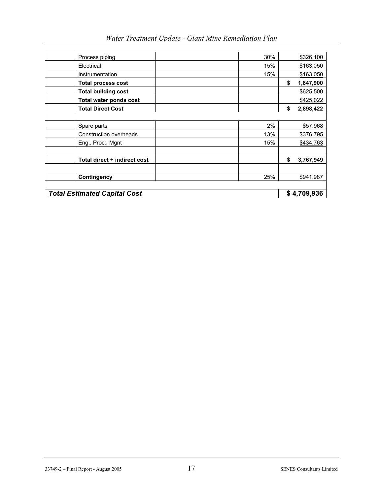| Water Treatment Update - Giant Mine Remediation Plan |  |  |  |  |
|------------------------------------------------------|--|--|--|--|
|------------------------------------------------------|--|--|--|--|

| <b>Total process cost</b>    |     | 1,847,900       |
|------------------------------|-----|-----------------|
| <b>Total building cost</b>   |     | \$625,500       |
| Total water ponds cost       |     | \$425,022       |
| <b>Total Direct Cost</b>     |     | \$<br>2,898,422 |
|                              |     |                 |
| Spare parts                  | 2%  | \$57,968        |
| Construction overheads       | 13% | \$376,795       |
| Eng., Proc., Mgnt            | 15% | \$434,763       |
|                              |     |                 |
| Total direct + indirect cost |     | \$<br>3,767,949 |
|                              |     |                 |
| Contingency                  | 25% | \$941,987       |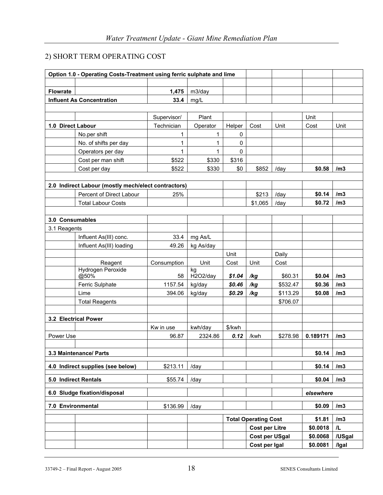## 2) SHORT TERM OPERATING COST

|                   | Option 1.0 - Operating Costs-Treatment using ferric sulphate and lime |             |                |        |                             |          |           |        |
|-------------------|-----------------------------------------------------------------------|-------------|----------------|--------|-----------------------------|----------|-----------|--------|
|                   |                                                                       |             |                |        |                             |          |           |        |
| <b>Flowrate</b>   |                                                                       | 1,475       | m3/day         |        |                             |          |           |        |
|                   | <b>Influent As Concentration</b>                                      | 33.4        | mg/L           |        |                             |          |           |        |
|                   |                                                                       |             |                |        |                             |          |           |        |
|                   |                                                                       | Supervisor/ | Plant          |        |                             |          | Unit      |        |
| 1.0 Direct Labour |                                                                       | Technician  | Operator       | Helper | Cost                        | Unit     | Cost      | Unit   |
|                   | No.per shift                                                          | 1           | 1              | 0      |                             |          |           |        |
|                   | No. of shifts per day                                                 | 1           | $\mathbf{1}$   | 0      |                             |          |           |        |
|                   | Operators per day                                                     | 1           | $\mathbf{1}$   | 0      |                             |          |           |        |
|                   | Cost per man shift                                                    | \$522       | \$330          | \$316  |                             |          |           |        |
|                   | Cost per day                                                          | \$522       | \$330          | \$0    | \$852                       | /day     | \$0.58    | /m3    |
|                   |                                                                       |             |                |        |                             |          |           |        |
|                   | 2.0 Indirect Labour (mostly mech/elect contractors)                   |             |                |        |                             |          |           |        |
|                   | Percent of Direct Labour                                              | 25%         |                |        | \$213                       | /day     | \$0.14    | /m3    |
|                   | <b>Total Labour Costs</b>                                             |             |                |        | \$1,065                     | /day     | \$0.72    | /m3    |
|                   |                                                                       |             |                |        |                             |          |           |        |
| 3.0 Consumables   |                                                                       |             |                |        |                             |          |           |        |
| 3.1 Reagents      |                                                                       |             |                |        |                             |          |           |        |
|                   | Influent As(III) conc.                                                | 33.4        | mg As/L        |        |                             |          |           |        |
|                   | Influent As(III) loading                                              | 49.26       | kg As/day      |        |                             |          |           |        |
|                   |                                                                       |             |                | Unit   |                             | Daily    |           |        |
|                   | Reagent                                                               | Consumption | Unit           | Cost   | Unit                        | Cost     |           |        |
|                   | Hydrogen Peroxide<br>@50%                                             | 58          | kg<br>H2O2/day | \$1.04 | /kg                         | \$60.31  | \$0.04    | /m3    |
|                   | Ferric Sulphate                                                       | 1157.54     | kg/day         | \$0.46 | /kg                         | \$532.47 | \$0.36    | /m3    |
|                   | Lime                                                                  | 394.06      | kg/day         | \$0.29 | /kg                         | \$113.29 | \$0.08    | /m3    |
|                   | <b>Total Reagents</b>                                                 |             |                |        |                             | \$706.07 |           |        |
|                   |                                                                       |             |                |        |                             |          |           |        |
|                   | 3.2 Electrical Power                                                  |             |                |        |                             |          |           |        |
|                   |                                                                       | Kw in use   | kwh/day        | \$/kwh |                             |          |           |        |
| Power Use         |                                                                       | 96.87       | 2324.86        | 0.12   | /kwh                        | \$278.98 | 0.189171  | /m3    |
|                   |                                                                       |             |                |        |                             |          |           |        |
|                   | 3.3 Maintenance/ Parts                                                |             |                |        |                             |          | \$0.14    | /m3    |
|                   | 4.0 Indirect supplies (see below)                                     | \$213.11    | /day           |        |                             |          | \$0.14    | /m3    |
|                   | 5.0 Indirect Rentals                                                  | \$55.74     | /day           |        |                             |          | \$0.04    | /m3    |
|                   | 6.0 Sludge fixation/disposal                                          |             |                |        |                             |          | elsewhere |        |
|                   |                                                                       |             |                |        |                             |          |           |        |
| 7.0 Environmental |                                                                       | \$136.99    | /day           |        |                             |          | \$0.09    | /m3    |
|                   |                                                                       |             |                |        | <b>Total Operating Cost</b> |          | \$1.81    | /m3    |
|                   |                                                                       |             |                |        | <b>Cost per Litre</b>       |          | \$0.0018  | /L     |
|                   |                                                                       |             |                |        | <b>Cost per USgal</b>       |          | \$0.0068  | /USgal |
|                   |                                                                       |             |                |        | Cost per Igal               |          | \$0.0081  | /Igal  |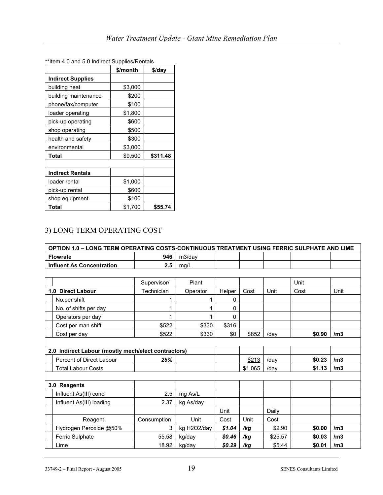| <b>INCITE 7.0</b> and 0.0 manced ouppiles/recritais | \$/month | \$/day   |
|-----------------------------------------------------|----------|----------|
| <b>Indirect Supplies</b>                            |          |          |
| building heat                                       | \$3,000  |          |
| building maintenance                                | \$200    |          |
| phone/fax/computer                                  | \$100    |          |
| loader operating                                    | \$1,800  |          |
| pick-up operating                                   | \$600    |          |
| shop operating                                      | \$500    |          |
| health and safety                                   | \$300    |          |
| environmental                                       | \$3,000  |          |
| Total                                               | \$9,500  | \$311.48 |
|                                                     |          |          |
| <b>Indirect Rentals</b>                             |          |          |
| loader rental                                       | \$1,000  |          |
| pick-up rental                                      | \$600    |          |
| shop equipment                                      | \$100    |          |
| Total                                               | \$1,700  | \$55.74  |

\*\*Item 4.0 and 5.0 Indirect Supplies/Rentals

## 3) LONG TERM OPERATING COST

| OPTION 1.0 - LONG TERM OPERATING COSTS-CONTINUOUS TREATMENT USING FERRIC SULPHATE AND LIME |             |             |              |         |         |        |      |
|--------------------------------------------------------------------------------------------|-------------|-------------|--------------|---------|---------|--------|------|
| <b>Flowrate</b>                                                                            | 946         | m3/day      |              |         |         |        |      |
| <b>Influent As Concentration</b>                                                           | 2.5         | mg/L        |              |         |         |        |      |
|                                                                                            |             |             |              |         |         |        |      |
|                                                                                            | Supervisor/ | Plant       |              |         |         | Unit   |      |
| 1.0 Direct Labour                                                                          | Technician  | Operator    | Helper       | Cost    | Unit    | Cost   | Unit |
| No.per shift                                                                               |             |             | 0            |         |         |        |      |
| No. of shifts per day                                                                      |             |             | 0            |         |         |        |      |
| Operators per day                                                                          |             |             | $\mathbf{0}$ |         |         |        |      |
| Cost per man shift                                                                         | \$522       | \$330       | \$316        |         |         |        |      |
| Cost per day                                                                               | \$522       | \$330       | \$0          | \$852   | /day    | \$0.90 | /m3  |
|                                                                                            |             |             |              |         |         |        |      |
| 2.0 Indirect Labour (mostly mech/elect contractors)                                        |             |             |              |         |         |        |      |
| Percent of Direct Labour                                                                   | 25%         |             |              | \$213   | /day    | \$0.23 | /m3  |
| <b>Total Labour Costs</b>                                                                  |             |             |              | \$1,065 | /day    | \$1.13 | /m3  |
|                                                                                            |             |             |              |         |         |        |      |
| 3.0 Reagents                                                                               |             |             |              |         |         |        |      |
| Influent As(III) conc.                                                                     | 2.5         | mg As/L     |              |         |         |        |      |
| Influent As(III) loading                                                                   | 2.37        | kg As/day   |              |         |         |        |      |
|                                                                                            |             |             | Unit         |         | Daily   |        |      |
| Reagent                                                                                    | Consumption | Unit        | Cost         | Unit    | Cost    |        |      |
| Hydrogen Peroxide @50%                                                                     | 3           | kg H2O2/day | \$1.04       | /kg     | \$2.90  | \$0.00 | /m3  |
| Ferric Sulphate                                                                            | 55.58       | kg/day      | \$0.46       | /kg     | \$25.57 | \$0.03 | /m3  |
| Lime                                                                                       | 18.92       | kg/day      | \$0.29       | /kg     | \$5.44  | \$0.01 | /m3  |